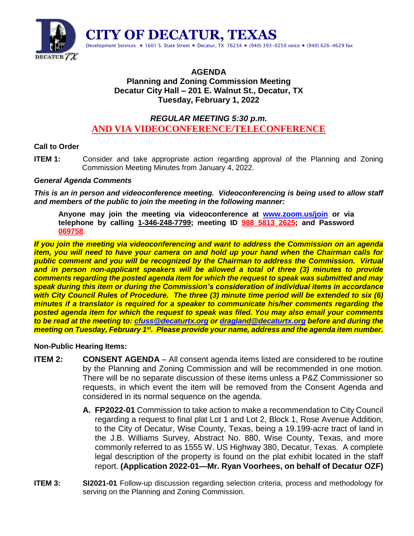

## **AGENDA Planning and Zoning Commission Meeting Decatur City Hall – 201 E. Walnut St., Decatur, TX Tuesday, February 1, 2022**

# *REGULAR MEETING 5:30 p.m.* **AND VIA VIDEOCONFERENCE/TELECONFERENCE**

## **Call to Order**

**ITEM 1:** Consider and take appropriate action regarding approval of the Planning and Zoning Commission Meeting Minutes from January 4, 2022.

### *General Agenda Comments*

*This is an in person and videoconference meeting. Videoconferencing is being used to allow staff and members of the public to join the meeting in the following manner:*

**Anyone may join the meeting via videoconference at [www.zoom.us/join](http://www.zoom.us/join) or via telephone by calling 1-346-248-7799; meeting ID 988 5813 2625; and Password 069758**.

*If you join the meeting via videoconferencing and want to address the Commission on an agenda item, you will need to have your camera on and hold up your hand when the Chairman calls for public comment and you will be recognized by the Chairman to address the Commission. Virtual and in person non-applicant speakers will be allowed a total of three (3) minutes to provide comments regarding the posted agenda item for which the request to speak was submitted and may speak during this item or during the Commission's consideration of individual items in accordance with City Council Rules of Procedure. The three (3) minute time period will be extended to six (6) minutes if a translator is required for a speaker to communicate his/her comments regarding the posted agenda item for which the request to speak was filed. You may also email your comments to be read at the meeting to: [cfuss@decaturtx.org](mailto:cfuss@decaturtx.org) o[r dragland@decaturtx.org](mailto:dragland@decaturtx.org) before and during the meeting on Tuesday, February 1 st. Please provide your name, address and the agenda item number.* 

### **Non-Public Hearing Items:**

- **ITEM 2: CONSENT AGENDA** All consent agenda items listed are considered to be routine by the Planning and Zoning Commission and will be recommended in one motion. There will be no separate discussion of these items unless a P&Z Commissioner so requests, in which event the item will be removed from the Consent Agenda and considered in its normal sequence on the agenda.
	- **A. FP2022-01** Commission to take action to make a recommendation to City Council regarding a request to final plat Lot 1 and Lot 2, Block 1, Rose Avenue Addition, to the City of Decatur, Wise County, Texas, being a 19.199-acre tract of land in the J.B. Williams Survey, Abstract No. 880, Wise County, Texas, and more commonly referred to as 1555 W. US Highway 380, Decatur, Texas. A complete legal description of the property is found on the plat exhibit located in the staff report. **(Application 2022-01—Mr. Ryan Voorhees, on behalf of Decatur OZF)**
- **ITEM 3: SI2021-01** Follow-up discussion regarding selection criteria, process and methodology for serving on the Planning and Zoning Commission.